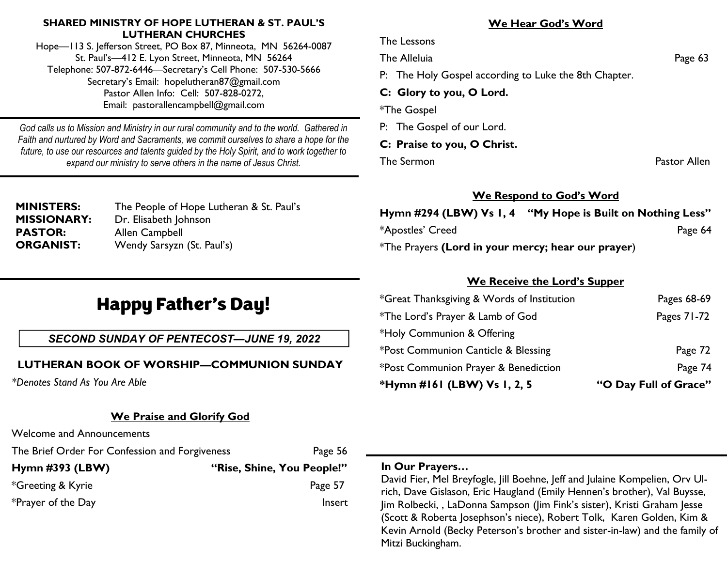#### **SHARED MINISTRY OF HOPE LUTHERAN & ST. PAUL'S LUTHERAN CHURCHES**

Hope—113 S. Jefferson Street, PO Box 87, Minneota, MN 56264-0087 St. Paul's—412 E. Lyon Street, Minneota, MN 56264 Telephone: 507-872-6446—Secretary's Cell Phone: 507-530-5666 Secretary's Email: hopelutheran87@gmail.com Pastor Allen Info: Cell: 507-828-0272, Email: pastorallencampbell@gmail.com

*God calls us to Mission and Ministry in our rural community and to the world. Gathered in Faith and nurtured by Word and Sacraments, we commit ourselves to share a hope for the future, to use our resources and talents guided by the Holy Spirit, and to work together to expand our ministry to serve others in the name of Jesus Christ.*

| <b>MINISTERS:</b>  |
|--------------------|
| <b>MISSIONARY:</b> |
| <b>PASTOR:</b>     |
| <b>ORGANIST:</b>   |

The People of Hope Lutheran & St. Paul's Dr. Elisabeth Johnson **Allen Campbell** Wendy Sarsyzn (St. Paul's)

# Happy Father's Day!

### *SECOND SUNDAY OF PENTECOST—JUNE 19, 2022*

# **LUTHERAN BOOK OF WORSHIP—COMMUNION SUNDAY**

*\*Denotes Stand As You Are Able*

# **We Praise and Glorify God**

Welcome and Announcements

The Brief Order For Confession and Forgiveness Page 56

| Hymn $\#393$ (LBW) | "Rise, Shine, You People!" |
|--------------------|----------------------------|
| *Greeting & Kyrie  | Page 57                    |
| *Prayer of the Day | Insert                     |

## **We Hear God's Word**

The Lessons

The Alleluia **Page 63** 

P: The Holy Gospel according to Luke the 8th Chapter.

#### **C: Glory to you, O Lord.**

\*The Gospel

P: The Gospel of our Lord.

#### **C: Praise to you, O Christ.**

The Sermon **Pastor Allen** 

### **We Respond to God's Word**

**Hymn #294 (LBW) Vs 1, 4 "My Hope is Built on Nothing Less"**

\*Apostles' Creed **Page 64** \*The Prayers **(Lord in your mercy; hear our prayer**)

### **We Receive the Lord's Supper**

| *Hymn #161 (LBW) Vs 1, 2, 5                | "O Day Full of Grace" |
|--------------------------------------------|-----------------------|
| *Post Communion Prayer & Benediction       | Page 74               |
| *Post Communion Canticle & Blessing        | Page 72               |
| *Holy Communion & Offering                 |                       |
| *The Lord's Prayer & Lamb of God           | Pages 71-72           |
| *Great Thanksgiving & Words of Institution | Pages 68-69           |

#### **In Our Prayers…**

David Fier, Mel Breyfogle, Jill Boehne, Jeff and Julaine Kompelien, Orv Ulrich, Dave Gislason, Eric Haugland (Emily Hennen's brother), Val Buysse, Jim Rolbecki, , LaDonna Sampson (Jim Fink's sister), Kristi Graham Jesse (Scott & Roberta Josephson's niece), Robert Tolk, Karen Golden, Kim & Kevin Arnold (Becky Peterson's brother and sister-in-law) and the family of Mitzi Buckingham.